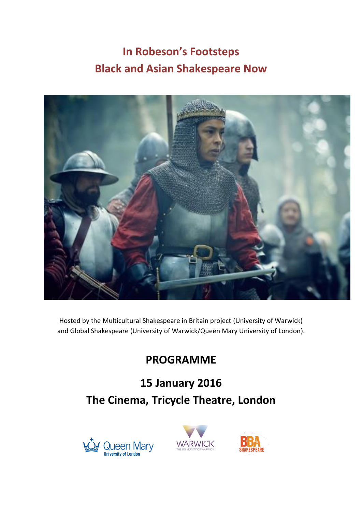# **In Robeson's Footsteps Black and Asian Shakespeare Now**



Hosted by the Multicultural Shakespeare in Britain project (University of Warwick) and Global Shakespeare (University of Warwick/Queen Mary University of London).

## **PROGRAMME**

## **15 January 2016 The Cinema, Tricycle Theatre, London**





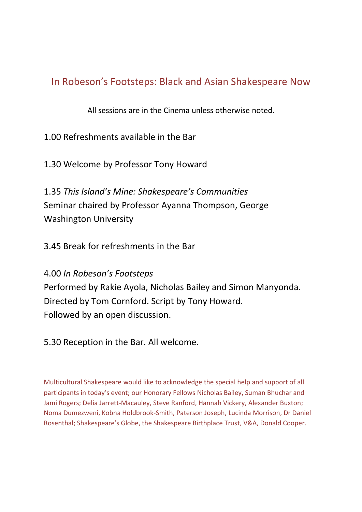### In Robeson's Footsteps: Black and Asian Shakespeare Now

All sessions are in the Cinema unless otherwise noted.

1.00 Refreshments available in the Bar

1.30 Welcome by Professor Tony Howard

1.35 *This Island's Mine: Shakespeare's Communities* Seminar chaired by Professor Ayanna Thompson, George Washington University

3.45 Break for refreshments in the Bar

4.00 *In Robeson's Footsteps* Performed by Rakie Ayola, Nicholas Bailey and Simon Manyonda. Directed by Tom Cornford. Script by Tony Howard. Followed by an open discussion.

5.30 Reception in the Bar. All welcome.

Multicultural Shakespeare would like to acknowledge the special help and support of all participants in today's event; our Honorary Fellows Nicholas Bailey, Suman Bhuchar and Jami Rogers; Delia Jarrett-Macauley, Steve Ranford, Hannah Vickery, Alexander Buxton; Noma Dumezweni, Kobna Holdbrook-Smith, Paterson Joseph, Lucinda Morrison, Dr Daniel Rosenthal; Shakespeare's Globe, the Shakespeare Birthplace Trust, V&A, Donald Cooper.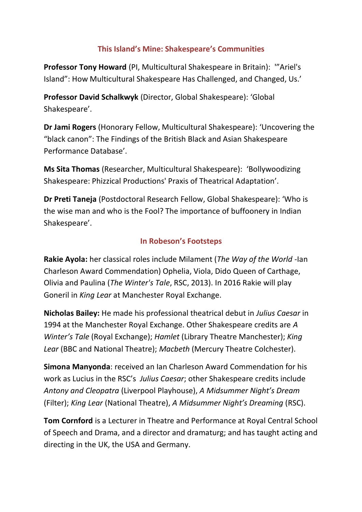### **This Island's Mine: Shakespeare's Communities**

**Professor Tony Howard** (PI, Multicultural Shakespeare in Britain): '"Ariel's Island": How Multicultural Shakespeare Has Challenged, and Changed, Us.'

**Professor David Schalkwyk** (Director, Global Shakespeare): 'Global Shakespeare'.

**Dr Jami Rogers** (Honorary Fellow, Multicultural Shakespeare): 'Uncovering the "black canon": The Findings of the British Black and Asian Shakespeare Performance Database'.

**Ms Sita Thomas** (Researcher, Multicultural Shakespeare): 'Bollywoodizing Shakespeare: Phizzical Productions' Praxis of Theatrical Adaptation'.

**Dr Preti Taneja** (Postdoctoral Research Fellow, Global Shakespeare): 'Who is the wise man and who is the Fool? The importance of buffoonery in Indian Shakespeare'.

#### **In Robeson's Footsteps**

**Rakie Ayola:** her classical roles include Milament (*The Way of the World* -Ian Charleson Award Commendation) Ophelia, Viola, Dido Queen of Carthage, Olivia and Paulina (*The Winter's Tale*, RSC, 2013). In 2016 Rakie will play Goneril in *King Lear* at Manchester Royal Exchange.

**Nicholas Bailey:** He made his professional theatrical debut in *Julius Caesar* in 1994 at the Manchester Royal Exchange. Other Shakespeare credits are *A Winter's Tale* (Royal Exchange); *Hamlet* (Library Theatre Manchester); *King Lear* (BBC and National Theatre); *Macbeth* (Mercury Theatre Colchester).

**Simona Manyonda**: received an Ian Charleson Award Commendation for his work as Lucius in the RSC's *Julius Caesar*; other Shakespeare credits include *Antony and Cleopatra* (Liverpool Playhouse), *A Midsummer Night's Dream* (Filter); *King Lear* (National Theatre), *A Midsummer Night's Dreaming* (RSC).

**Tom Cornford** is a Lecturer in Theatre and Performance at Royal Central School of Speech and Drama, and a director and dramaturg; and has taught acting and directing in the UK, the USA and Germany.